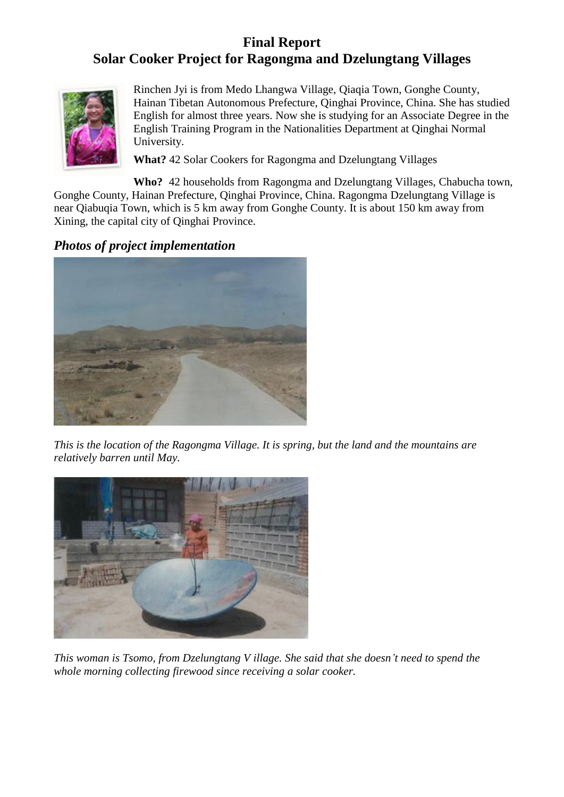# **Final Report Solar Cooker Project for Ragongma and Dzelungtang Villages**



Rinchen Jyi is from Medo Lhangwa Village, Qiaqia Town, Gonghe County, Hainan Tibetan Autonomous Prefecture, Qinghai Province, China. She has studied English for almost three years. Now she is studying for an Associate Degree in the English Training Program in the Nationalities Department at Qinghai Normal University.

**What?** 42 Solar Cookers for Ragongma and Dzelungtang Villages

**Who?** 42 households from Ragongma and Dzelungtang Villages, Chabucha town, Gonghe County, Hainan Prefecture, Qinghai Province, China. Ragongma Dzelungtang Village is near Qiabuqia Town, which is 5 km away from Gonghe County. It is about 150 km away from Xining, the capital city of Qinghai Province.

# *Photos of project implementation*



*This is the location of the Ragongma Village. It is spring, but the land and the mountains are relatively barren until May.*



*This woman is Tsomo, from Dzelungtang V illage. She said that she doesn't need to spend the whole morning collecting firewood since receiving a solar cooker.*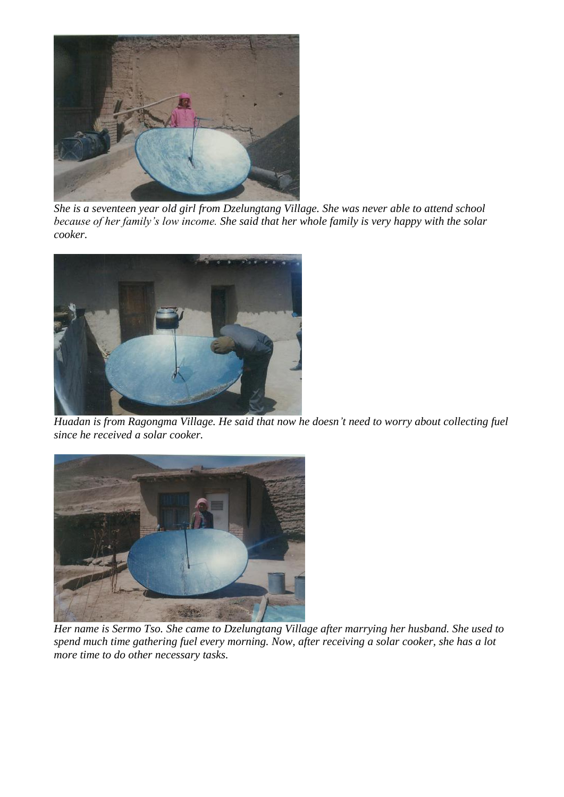

*She is a seventeen year old girl from Dzelungtang Village. She was never able to attend school because of her family's low income. She said that her whole family is very happy with the solar cooker.*



*Huadan is from Ragongma Village. He said that now he doesn't need to worry about collecting fuel since he received a solar cooker.*



*Her name is Sermo Tso. She came to Dzelungtang Village after marrying her husband. She used to spend much time gathering fuel every morning. Now, after receiving a solar cooker, she has a lot more time to do other necessary tasks.*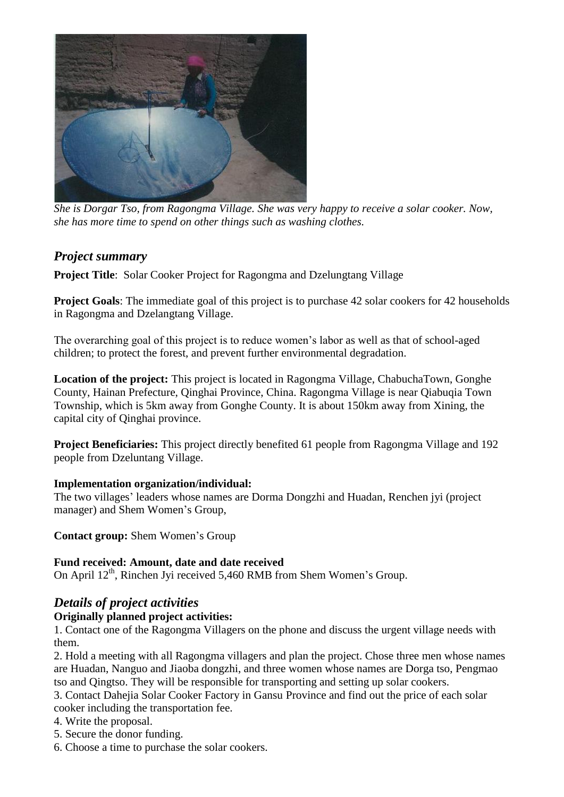

*She is Dorgar Tso, from Ragongma Village. She was very happy to receive a solar cooker. Now, she has more time to spend on other things such as washing clothes.*

## *Project summary*

**Project Title**: Solar Cooker Project for Ragongma and Dzelungtang Village

**Project Goals**: The immediate goal of this project is to purchase 42 solar cookers for 42 households in Ragongma and Dzelangtang Village.

The overarching goal of this project is to reduce women's labor as well as that of school-aged children; to protect the forest, and prevent further environmental degradation.

**Location of the project:** This project is located in Ragongma Village, ChabuchaTown, Gonghe County, Hainan Prefecture, Qinghai Province, China. Ragongma Village is near Qiabuqia Town Township, which is 5km away from Gonghe County. It is about 150km away from Xining, the capital city of Qinghai province.

**Project Beneficiaries:** This project directly benefited 61 people from Ragongma Village and 192 people from Dzeluntang Village.

#### **Implementation organization/individual:**

The two villages' leaders whose names are Dorma Dongzhi and Huadan, Renchen jvi (project) manager) and Shem Women's Group,

**Contact group:** Shem Women's Group

#### **Fund received: Amount, date and date received**

On April  $12^{th}$ , Rinchen Jyi received 5,460 RMB from Shem Women's Group.

# *Details of project activities*

#### **Originally planned project activities:**

1. Contact one of the Ragongma Villagers on the phone and discuss the urgent village needs with them.

2. Hold a meeting with all Ragongma villagers and plan the project. Chose three men whose names are Huadan, Nanguo and Jiaoba dongzhi, and three women whose names are Dorga tso, Pengmao tso and Qingtso. They will be responsible for transporting and setting up solar cookers.

3. Contact Dahejia Solar Cooker Factory in Gansu Province and find out the price of each solar cooker including the transportation fee.

4. Write the proposal.

- 5. Secure the donor funding.
- 6. Choose a time to purchase the solar cookers.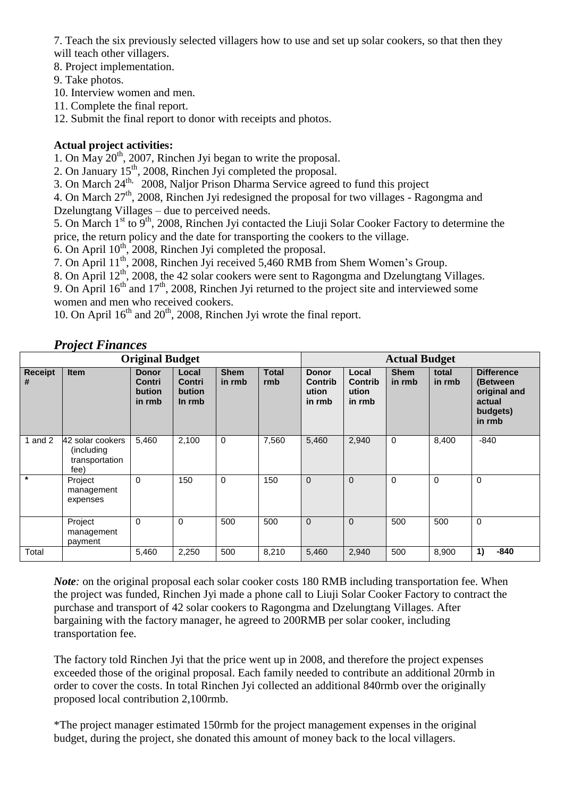7. Teach the six previously selected villagers how to use and set up solar cookers, so that then they will teach other villagers.

8. Project implementation.

9. Take photos.

10. Interview women and men.

11. Complete the final report.

12. Submit the final report to donor with receipts and photos.

#### **Actual project activities:**

1. On  $\tilde{May}$   $20^{th}$ , 2007, Rinchen Jyi began to write the proposal.

2. On January  $15<sup>th</sup>$ , 2008, Rinchen Jyi completed the proposal.

3. On March 24<sup>th,</sup> 2008, Naljor Prison Dharma Service agreed to fund this project

4. On March  $27<sup>th</sup>$ , 2008, Rinchen Jyi redesigned the proposal for two villages - Ragongma and Dzelungtang Villages – due to perceived needs.

5. On March 1<sup>st</sup> to 9<sup>th</sup>, 2008, Rinchen Jyi contacted the Liuji Solar Cooker Factory to determine the price, the return policy and the date for transporting the cookers to the village.

6. On April  $10^{th}$ , 2008, Rinchen Jyi completed the proposal.

7. On April 11th, 2008, Rinchen Jyi received 5,460 RMB from Shem Women's Group.

8. On April 12<sup>th</sup>, 2008, the 42 solar cookers were sent to Ragongma and Dzelungtang Villages.

9. On April  $16<sup>th</sup>$  and  $17<sup>th</sup>$ , 2008, Rinchen Jyi returned to the project site and interviewed some

women and men who received cookers.

10. On April  $16^{th}$  and  $20^{th}$ , 2008, Rinchen Jyi wrote the final report.

## *Project Finances*

| <b>Original Budget</b> |                                                          |                                            |                                     |                       |                     |                                            | <b>Actual Budget</b>                |                       |                 |                                                                               |  |
|------------------------|----------------------------------------------------------|--------------------------------------------|-------------------------------------|-----------------------|---------------------|--------------------------------------------|-------------------------------------|-----------------------|-----------------|-------------------------------------------------------------------------------|--|
| <b>Receipt</b><br>#    | <b>Item</b>                                              | <b>Donor</b><br>Contri<br>bution<br>in rmb | Local<br>Contri<br>bution<br>In rmb | <b>Shem</b><br>in rmb | <b>Total</b><br>rmb | <b>Donor</b><br>Contrib<br>ution<br>in rmb | Local<br>Contrib<br>ution<br>in rmb | <b>Shem</b><br>in rmb | total<br>in rmb | <b>Difference</b><br>(Between<br>original and<br>actual<br>budgets)<br>in rmb |  |
| 1 and $2$              | 42 solar cookers<br>(including<br>transportation<br>fee) | 5,460                                      | 2,100                               | 0                     | 7,560               | 5,460                                      | 2,940                               | $\mathbf 0$           | 8,400           | $-840$                                                                        |  |
| $\star$                | Project<br>management<br>expenses                        | 0                                          | 150                                 | 0                     | 150                 | $\mathbf 0$                                | $\mathbf{0}$                        | 0                     | $\mathbf 0$     | $\mathbf 0$                                                                   |  |
|                        | Project<br>management<br>payment                         | $\Omega$                                   | $\Omega$                            | 500                   | 500                 | $\Omega$                                   | $\Omega$                            | 500                   | 500             | $\Omega$                                                                      |  |
| Total                  |                                                          | 5,460                                      | 2,250                               | 500                   | 8,210               | 5,460                                      | 2,940                               | 500                   | 8,900           | 1)<br>$-840$                                                                  |  |

*Note*; on the original proposal each solar cooker costs 180 RMB including transportation fee. When the project was funded, Rinchen Jyi made a phone call to Liuji Solar Cooker Factory to contract the purchase and transport of 42 solar cookers to Ragongma and Dzelungtang Villages. After bargaining with the factory manager, he agreed to 200RMB per solar cooker, including transportation fee.

The factory told Rinchen Jyi that the price went up in 2008, and therefore the project expenses exceeded those of the original proposal. Each family needed to contribute an additional 20rmb in order to cover the costs. In total Rinchen Jyi collected an additional 840rmb over the originally proposed local contribution 2,100rmb.

\*The project manager estimated 150rmb for the project management expenses in the original budget, during the project, she donated this amount of money back to the local villagers.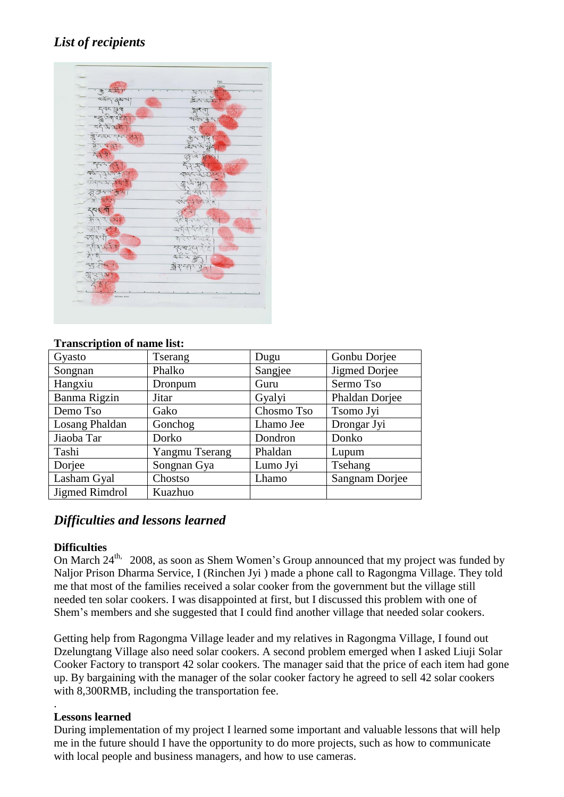# *List of recipients*



#### **Transcription of name list:**

| Gyasto         | <b>Tserang</b> | Dugu       | Gonbu Dorjee   |
|----------------|----------------|------------|----------------|
| Songnan        | Phalko         | Sangjee    | Jigmed Dorjee  |
| Hangxiu        | Dronpum        | Guru       | Sermo Tso      |
| Banma Rigzin   | Jitar          | Gyalyi     | Phaldan Dorjee |
| Demo Tso       | Gako           | Chosmo Tso | Tsomo Jyi      |
| Losang Phaldan | Gonchog        | Lhamo Jee  | Drongar Jyi    |
| Jiaoba Tar     | Dorko          | Dondron    | Donko          |
| Tashi          | Yangmu Tserang | Phaldan    | Lupum          |
| Dorjee         | Songnan Gya    | Lumo Jyi   | Tsehang        |
| Lasham Gyal    | Chostso        | Lhamo      | Sangnam Dorjee |
| Jigmed Rimdrol | Kuazhuo        |            |                |

## *Difficulties and lessons learned*

#### **Difficulties**

On March  $24<sup>th</sup>$ , 2008, as soon as Shem Women's Group announced that my project was funded by Naljor Prison Dharma Service, I (Rinchen Jyi ) made a phone call to Ragongma Village. They told me that most of the families received a solar cooker from the government but the village still needed ten solar cookers. I was disappointed at first, but I discussed this problem with one of Shem's members and she suggested that I could find another village that needed solar cookers.

Getting help from Ragongma Village leader and my relatives in Ragongma Village, I found out Dzelungtang Village also need solar cookers. A second problem emerged when I asked Liuji Solar Cooker Factory to transport 42 solar cookers. The manager said that the price of each item had gone up. By bargaining with the manager of the solar cooker factory he agreed to sell 42 solar cookers with 8,300RMB, including the transportation fee.

#### **Lessons learned**

.

During implementation of my project I learned some important and valuable lessons that will help me in the future should I have the opportunity to do more projects, such as how to communicate with local people and business managers, and how to use cameras.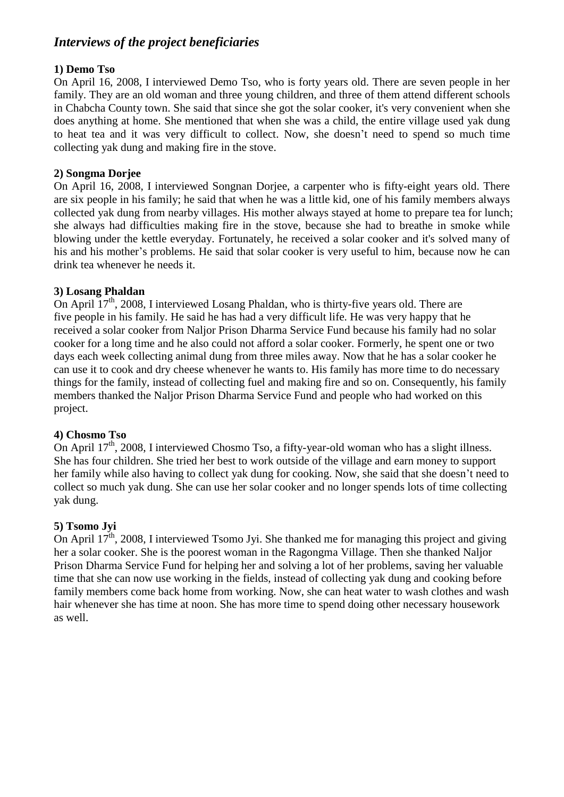# *Interviews of the project beneficiaries*

#### **1) Demo Tso**

On April 16, 2008, I interviewed Demo Tso, who is forty years old. There are seven people in her family. They are an old woman and three young children, and three of them attend different schools in Chabcha County town. She said that since she got the solar cooker, it's very convenient when she does anything at home. She mentioned that when she was a child, the entire village used yak dung to heat tea and it was very difficult to collect. Now, she doesn't need to spend so much time collecting yak dung and making fire in the stove.

#### **2) Songma Dorjee**

On April 16, 2008, I interviewed Songnan Dorjee, a carpenter who is fifty-eight years old. There are six people in his family; he said that when he was a little kid, one of his family members always collected yak dung from nearby villages. His mother always stayed at home to prepare tea for lunch; she always had difficulties making fire in the stove, because she had to breathe in smoke while blowing under the kettle everyday. Fortunately, he received a solar cooker and it's solved many of his and his mother's problems. He said that solar cooker is very useful to him, because now he can drink tea whenever he needs it.

#### **3) Losang Phaldan**

On April  $17<sup>th</sup>$ , 2008, I interviewed Losang Phaldan, who is thirty-five years old. There are five people in his family. He said he has had a very difficult life. He was very happy that he received a solar cooker from Naljor Prison Dharma Service Fund because his family had no solar cooker for a long time and he also could not afford a solar cooker. Formerly, he spent one or two days each week collecting animal dung from three miles away. Now that he has a solar cooker he can use it to cook and dry cheese whenever he wants to. His family has more time to do necessary things for the family, instead of collecting fuel and making fire and so on. Consequently, his family members thanked the Naljor Prison Dharma Service Fund and people who had worked on this project.

#### **4) Chosmo Tso**

On April  $17<sup>th</sup>$ , 2008, I interviewed Chosmo Tso, a fifty-year-old woman who has a slight illness. She has four children. She tried her best to work outside of the village and earn money to support her family while also having to collect yak dung for cooking. Now, she said that she doesn't need to collect so much yak dung. She can use her solar cooker and no longer spends lots of time collecting yak dung.

#### **5) Tsomo Jyi**

On April  $17^{\text{th}}$ , 2008, I interviewed Tsomo Jyi. She thanked me for managing this project and giving her a solar cooker. She is the poorest woman in the Ragongma Village. Then she thanked Naljor Prison Dharma Service Fund for helping her and solving a lot of her problems, saving her valuable time that she can now use working in the fields, instead of collecting yak dung and cooking before family members come back home from working. Now, she can heat water to wash clothes and wash hair whenever she has time at noon. She has more time to spend doing other necessary housework as well.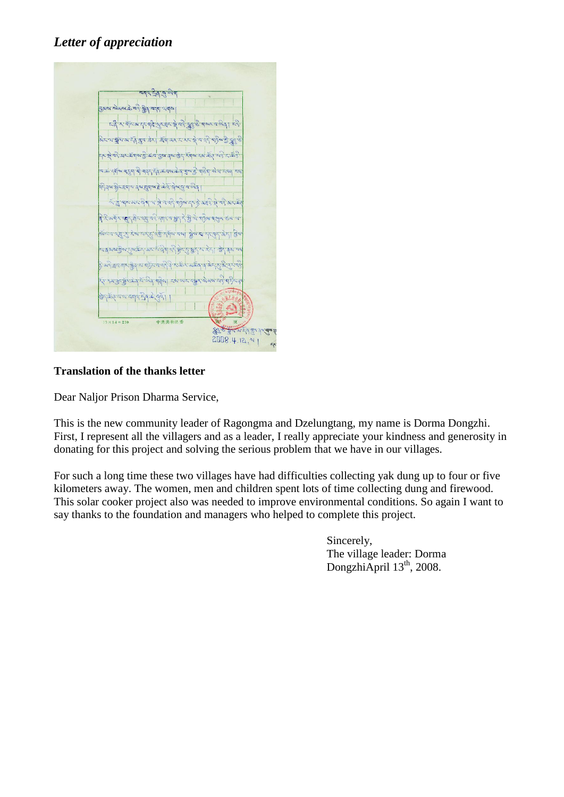# *Letter of appreciation*

BAN ANNE RE AS ANTI UTA בל גי אראיגר קל שרבר את היה שיו היה מאך בל ्र<br>अस्य क्षेत्र अस्त्र बुव तेरा मैंबायर संस्कृत श्रे बार् .<br>मध्ये वरे यमस्थान के वास का के स्वास्थ्य के स्वास्थ्य के स्वास्थ्य के ब त्वाक दुर्गाल बाहुवा बी बाइन में के कार के बाबा की बाहुवा हो या मन्ना ।<br>क्षेत्रभाष्ठीराह्याच वैशाह्याचाहे केरा वेबाव वालुवा वा तु बार अर देवा या हो न यरे बादेवा दर दे अन्दे से बदे अर के विदिव्यमं राष्ट्रा में देश वर्षे सार बश्रु है श्रे भारे भा मुख हब य ।<br>हे अद्रेक्षया गर ब्रेड्सच पहिंद व वर्ते दे से के संकल के बाद हाथ से दास व स्य अनुसार के से बिन महीना दब अस बार बे अब सर्वे मार्टेस के केर मात्रा बनय हैन से बया।  $15 \times 14 = 210$ 中共共和县委 NALES THEAN TAY  $2008.4.12, 11$ 

## **Translation of the thanks letter**

Dear Naljor Prison Dharma Service,

This is the new community leader of Ragongma and Dzelungtang, my name is Dorma Dongzhi. First, I represent all the villagers and as a leader, I really appreciate your kindness and generosity in donating for this project and solving the serious problem that we have in our villages.

For such a long time these two villages have had difficulties collecting yak dung up to four or five kilometers away. The women, men and children spent lots of time collecting dung and firewood. This solar cooker project also was needed to improve environmental conditions. So again I want to say thanks to the foundation and managers who helped to complete this project.

> Sincerely, The village leader: Dorma DongzhiApril 13<sup>th</sup>, 2008.